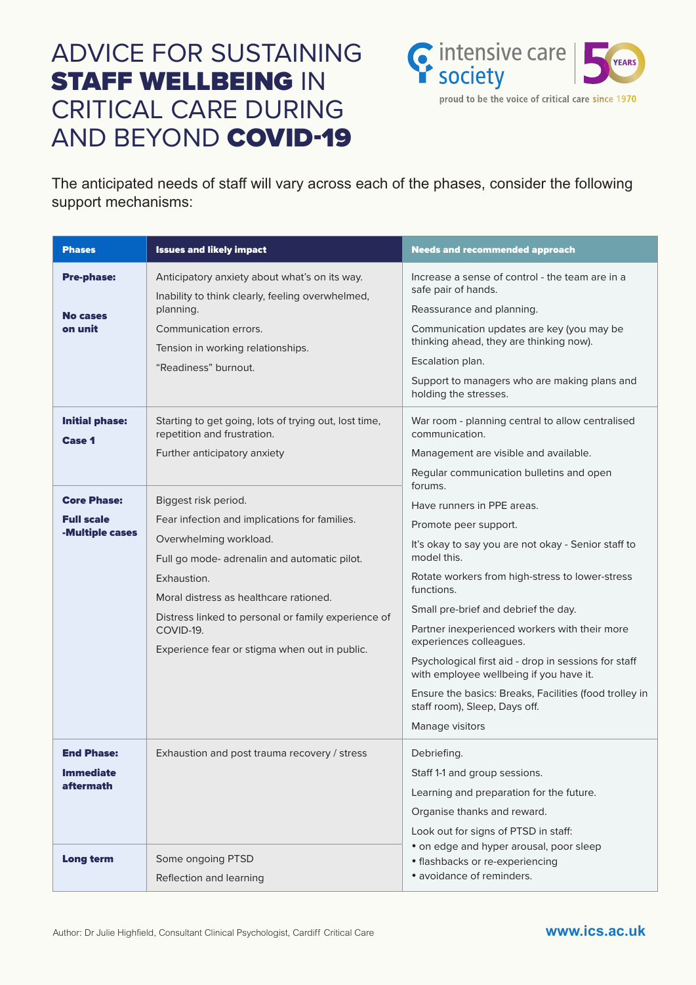The anticipated needs of staff will vary across each of the phases, consider the following support mechanisms:

| <b>Phases</b>                                                                                        | <b>Issues and likely impact</b>                                                                                                                                                                                                                                                                                                                                                                                                                       | <b>Needs and recommended approach</b>                                                                                                                                                                                                                                                                                                                                                                                                                                                                                                                                                                                                                                              |
|------------------------------------------------------------------------------------------------------|-------------------------------------------------------------------------------------------------------------------------------------------------------------------------------------------------------------------------------------------------------------------------------------------------------------------------------------------------------------------------------------------------------------------------------------------------------|------------------------------------------------------------------------------------------------------------------------------------------------------------------------------------------------------------------------------------------------------------------------------------------------------------------------------------------------------------------------------------------------------------------------------------------------------------------------------------------------------------------------------------------------------------------------------------------------------------------------------------------------------------------------------------|
| <b>Pre-phase:</b><br><b>No cases</b><br>on unit                                                      | Anticipatory anxiety about what's on its way.<br>Inability to think clearly, feeling overwhelmed,<br>planning.<br>Communication errors.                                                                                                                                                                                                                                                                                                               | Increase a sense of control - the team are in a<br>safe pair of hands.<br>Reassurance and planning.<br>Communication updates are key (you may be                                                                                                                                                                                                                                                                                                                                                                                                                                                                                                                                   |
|                                                                                                      | Tension in working relationships.<br>"Readiness" burnout.                                                                                                                                                                                                                                                                                                                                                                                             | thinking ahead, they are thinking now).<br>Escalation plan.<br>Support to managers who are making plans and<br>holding the stresses.                                                                                                                                                                                                                                                                                                                                                                                                                                                                                                                                               |
| <b>Initial phase:</b><br><b>Case 1</b><br><b>Core Phase:</b><br><b>Full scale</b><br>-Multiple cases | Starting to get going, lots of trying out, lost time,<br>repetition and frustration.<br>Further anticipatory anxiety<br>Biggest risk period.<br>Fear infection and implications for families.<br>Overwhelming workload.<br>Full go mode- adrenalin and automatic pilot.<br>Exhaustion.<br>Moral distress as healthcare rationed.<br>Distress linked to personal or family experience of<br>COVID-19.<br>Experience fear or stigma when out in public. | War room - planning central to allow centralised<br>communication.<br>Management are visible and available.<br>Regular communication bulletins and open<br>forums.<br>Have runners in PPE areas.<br>Promote peer support.<br>It's okay to say you are not okay - Senior staff to<br>model this.<br>Rotate workers from high-stress to lower-stress<br>functions.<br>Small pre-brief and debrief the day.<br>Partner inexperienced workers with their more<br>experiences colleagues.<br>Psychological first aid - drop in sessions for staff<br>with employee wellbeing if you have it.<br>Ensure the basics: Breaks, Facilities (food trolley in<br>staff room), Sleep, Days off. |
| <b>End Phase:</b><br><b>Immediate</b><br><b>aftermath</b>                                            | Exhaustion and post trauma recovery / stress                                                                                                                                                                                                                                                                                                                                                                                                          | Manage visitors<br>Debriefing.<br>Staff 1-1 and group sessions.<br>Learning and preparation for the future.<br>Organise thanks and reward.<br>Look out for signs of PTSD in staff:                                                                                                                                                                                                                                                                                                                                                                                                                                                                                                 |
| <b>Long term</b>                                                                                     | Some ongoing PTSD<br>Reflection and learning                                                                                                                                                                                                                                                                                                                                                                                                          | • on edge and hyper arousal, poor sleep<br>• flashbacks or re-experiencing<br>• avoidance of reminders.                                                                                                                                                                                                                                                                                                                                                                                                                                                                                                                                                                            |

Author: Dr Julie Highfield, Consultant Clinical Psychologist, Cardiff Critical Care **www.ics.ac.uk** 



## ADVICE FOR SUSTAINING **STAFF WELLBEING IN** CRITICAL CARE DURING AND BEYOND COVID-19



proud to be the voice of critical care since 1970